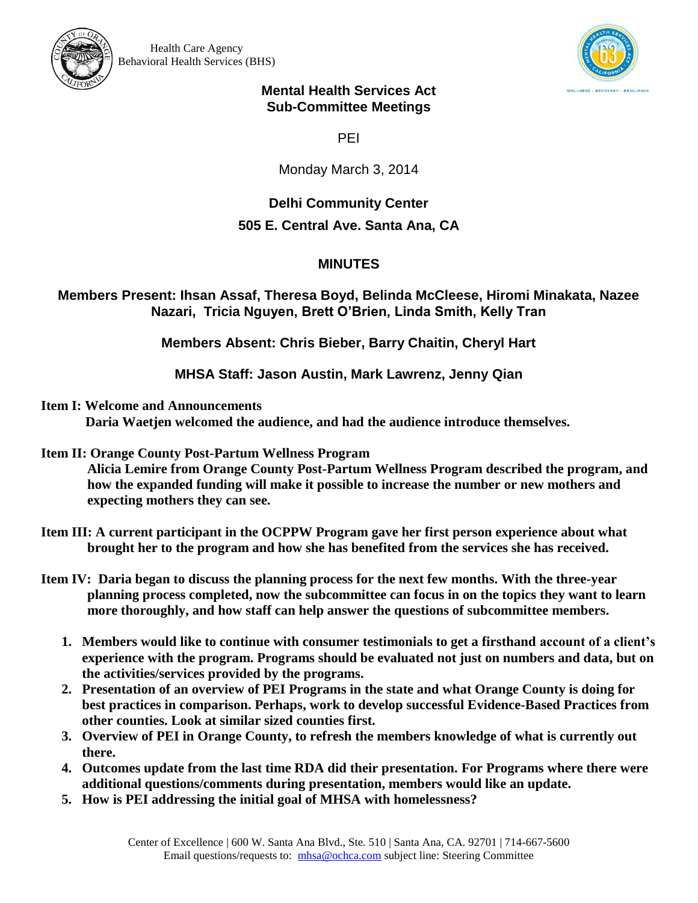



## **Mental Health Services Act Sub-Committee Meetings**

PEI

Monday March 3, 2014

## **Delhi Community Center**

## **505 E. Central Ave. Santa Ana, CA**

## **MINUTES**

**Members Present: Ihsan Assaf, Theresa Boyd, Belinda McCleese, Hiromi Minakata, Nazee Nazari, Tricia Nguyen, Brett O'Brien, Linda Smith, Kelly Tran**

**Members Absent: Chris Bieber, Barry Chaitin, Cheryl Hart**

**MHSA Staff: Jason Austin, Mark Lawrenz, Jenny Qian**

**Item I: Welcome and Announcements**

**Daria Waetjen welcomed the audience, and had the audience introduce themselves.** 

**Item II: Orange County Post-Partum Wellness Program**

**Alicia Lemire from Orange County Post-Partum Wellness Program described the program, and how the expanded funding will make it possible to increase the number or new mothers and expecting mothers they can see.** 

- **Item III: A current participant in the OCPPW Program gave her first person experience about what brought her to the program and how she has benefited from the services she has received.**
- **Item IV: Daria began to discuss the planning process for the next few months. With the three-year planning process completed, now the subcommittee can focus in on the topics they want to learn more thoroughly, and how staff can help answer the questions of subcommittee members.**
	- **1. Members would like to continue with consumer testimonials to get a firsthand account of a client's experience with the program. Programs should be evaluated not just on numbers and data, but on the activities/services provided by the programs.**
	- **2. Presentation of an overview of PEI Programs in the state and what Orange County is doing for best practices in comparison. Perhaps, work to develop successful Evidence-Based Practices from other counties. Look at similar sized counties first.**
	- **3. Overview of PEI in Orange County, to refresh the members knowledge of what is currently out there.**
	- **4. Outcomes update from the last time RDA did their presentation. For Programs where there were additional questions/comments during presentation, members would like an update.**
	- **5. How is PEI addressing the initial goal of MHSA with homelessness?**